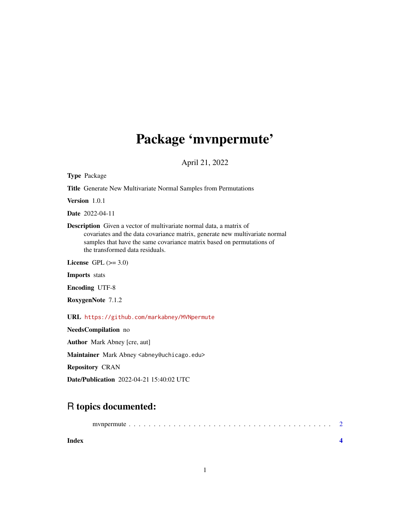## Package 'mvnpermute'

April 21, 2022

Type Package Title Generate New Multivariate Normal Samples from Permutations

Version 1.0.1

Date 2022-04-11

Description Given a vector of multivariate normal data, a matrix of covariates and the data covariance matrix, generate new multivariate normal samples that have the same covariance matrix based on permutations of the transformed data residuals.

License GPL  $(>= 3.0)$ 

Imports stats

Encoding UTF-8

RoxygenNote 7.1.2

URL <https://github.com/markabney/MVNpermute>

NeedsCompilation no

Author Mark Abney [cre, aut]

Maintainer Mark Abney <abney@uchicago.edu>

Repository CRAN

Date/Publication 2022-04-21 15:40:02 UTC

### R topics documented:

| Index |  |
|-------|--|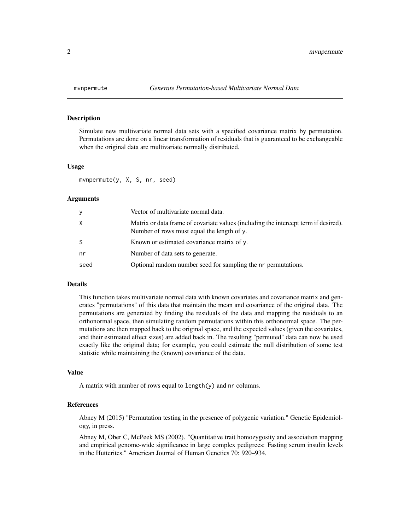<span id="page-1-0"></span>

#### Description

Simulate new multivariate normal data sets with a specified covariance matrix by permutation. Permutations are done on a linear transformation of residuals that is guaranteed to be exchangeable when the original data are multivariate normally distributed.

#### Usage

mvnpermute(y, X, S, nr, seed)

#### Arguments

| y    | Vector of multivariate normal data.                                                                                               |
|------|-----------------------------------------------------------------------------------------------------------------------------------|
| X    | Matrix or data frame of covariate values (including the intercept term if desired).<br>Number of rows must equal the length of y. |
| S    | Known or estimated covariance matrix of y.                                                                                        |
| nr   | Number of data sets to generate.                                                                                                  |
| seed | Optional random number seed for sampling the nr permutations.                                                                     |

#### Details

This function takes multivariate normal data with known covariates and covariance matrix and generates "permutations" of this data that maintain the mean and covariance of the original data. The permutations are generated by finding the residuals of the data and mapping the residuals to an orthonormal space, then simulating random permutations within this orthonormal space. The permutations are then mapped back to the original space, and the expected values (given the covariates, and their estimated effect sizes) are added back in. The resulting "permuted" data can now be used exactly like the original data; for example, you could estimate the null distribution of some test statistic while maintaining the (known) covariance of the data.

#### Value

A matrix with number of rows equal to length(y) and nr columns.

#### References

Abney M (2015) "Permutation testing in the presence of polygenic variation." Genetic Epidemiology, in press.

Abney M, Ober C, McPeek MS (2002). "Quantitative trait homozygosity and association mapping and empirical genome-wide significance in large complex pedigrees: Fasting serum insulin levels in the Hutterites." American Journal of Human Genetics 70: 920–934.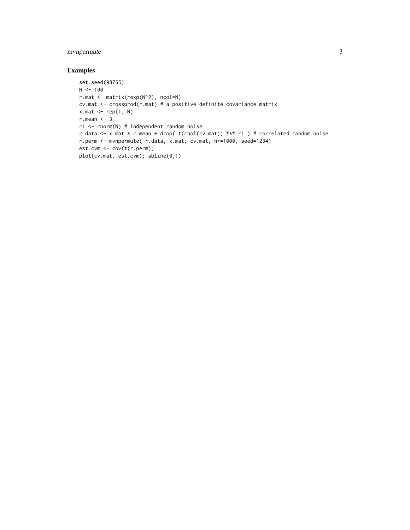#### mvnpermute 3

#### Examples

```
set.seed(98765)
N < - 100r.mat <- matrix(rexp(N^2), ncol=N)
cv.mat <- crossprod(r.mat) # a positive definite covariance matrix
x.mac < - rep(1, N)r.mean <- 3
r1 <- rnorm(N) # independent random noise
r.data <- x.mat * r.mean + drop( t(chol(cv.mat)) %*% r1 ) # correlated random noise
r.perm <- mvnpermute( r.data, x.mat, cv.mat, nr=1000, seed=1234)
est.cvm <- cov(t(r.perm))
plot(cv.mat, est.cvm); abline(0,1)
```